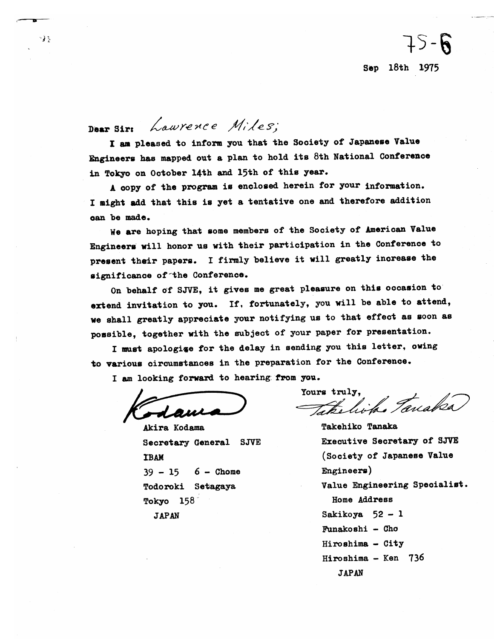Sep 18th 1975

 $75 - 6$ 

Laurence Miles: Daar Sire

I am pleased to inform you that the Society of Japanese Value Engineers has mapped out a plan to hold its 8th National Conference in Tokyo on October 14th and 15th of this year.

A copy of the program is enclosed herein for your information. I might add that this is yet a tentative one and therefore addition can be made.

We are hoping that some members of the Society of American Value Engineers will honor us with their participation in the Conference to present their papers. I firmly believe it will greatly increase the significance of the Conference.

On behalf of SJVE, it gives me great pleasure on this occasion to extend invitation to you. If, fortunately, you will be able to attend, we shall greatly appreciate your notifying us to that effect as soon as possible, together with the subject of your paper for presentation.

I must apologige for the delay in sending you this letter, owing to various circumstances in the preparation for the Conference.

I am looking forward to hearing from you.

Akira Kodama Secretary General SJVE **IBAM**  $39 - 15$  $6 -$  Chome Todoroki Setagaya Tokyo 158 **JAPAN** 

Yours truly, Takelich Tanaka

**Takehiko Tanaka** Executive Secretary of SJVE (Society of Japanese Value Engineers) Value Engineering Specialist. Home Address Sakikoya 52 - 1 Funakoshi - Cho Hiroshima - City Hiroshima - Ken 736 **JAPAN** 

ج او -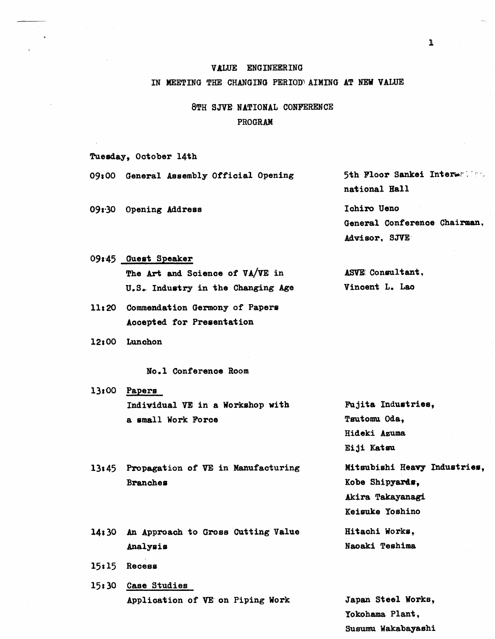#### VALUE ENGINEERING

#### IN MEETING THE CHANGING PERIOD AIMING AT NEW VALUE

## 8TH SJVE NATIONAL CONFERENCE PROGRAM

Tuesday, October 14th

09:00 General Assembly Official Opening

09:30 Opening Address

## 09:45 Guest Speaker

The Art and Science of VA/VE in U.S. Industry in the Changing Age

- 11:20 Commendation Germony of Papers Accepted for Presentation
- 12:00 Lunchon

No.1 Conference Room

 $13:00$  Papers Individual VE in a Workshop with a small Work Force

13:45 Propagation of VE in Manufacturing **Branches** 

14:30 An Approach to Gross Cutting Value Analysis

- $15:15$  Recess
- 15:30 Case Studies Application of VE on Piping Work

5th Floor Sankei Interwalls. national Hall

Ichiro Ueno General Conference Chairman, Advisor, SJVE

ASVE Consultant. Vincent L. Lao

Fujita Industries, Tsutomu Oda, Hideki Azuma Eiji Katsu Mitsubishi Heavy Industries, Kobe Shipyards, Akira Takayanagi Keisuke Yoshino Hitachi Works, Naoaki Teshima

Japan Steel Works, Yokohama Plant. Susumu Wakabayashi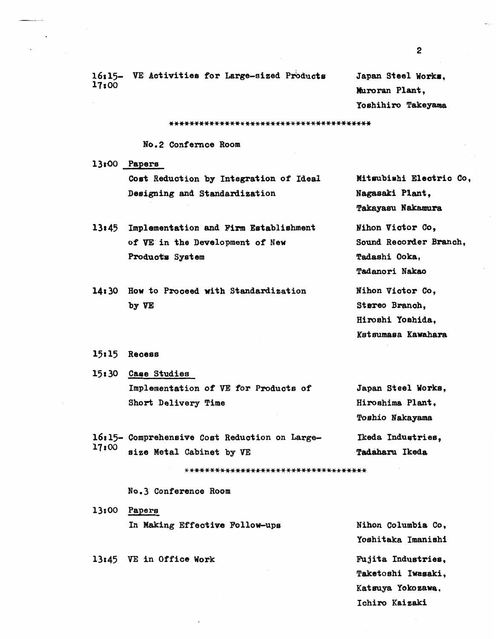16:15- VE Activities for Large-sized Products Japan Steel Works. 17~00

**mroran** Plant, Yoshihiro Takeyama

### **No.2** Confernce Room

13r.00 **Papers**  Cost Reduction by Integration of Ideal **Designing** and Standardisat ion

- **13: 45** Implementat ion and Firm Establishment of **VE** in the Development of New Products System
- **14:** 30 How to Prooeed with Standardization **by**
- 15:15 Recess

**15:** *30* Caee Studies Implementation of **VE** for Products of Japan **Steel** Works, Short Delivery Time **Himshims** Plant,

Mitsubiahi Eleatrio Co, Nagasaki **Plant,**  Takayasu Nakamura

Nihon Victor Co, Sound Reoorder **Branoh, Tadashi Ooka,**  Tadaslori **Nakao** 

Mihon Victor Co, Stereo Branch. Hiroshi Yoshida, **Kst sumasa Kamhara** 

Toshio **Nakayama**  16:15- Comprehensive Cost Reduction on Large-<br>17:00 added Match Achient has William Constitution on the set of the set of the set of the set of the set of the set of the set of the set of the set of the set of the set of t **17r00** siee Metal Cabinet by **VE Tadaharu** Ikeda

\*\*\*\*\*\*\*\*\*\*\*\*\*\*\*\*\*\*\*\*\*\*\*\*\*\*\*\*\*\*\*\*\*\*\*\*

**No.3** Conference Room

13r00 **Papers**  In Making Effective Follow-ups

**13~45 VE in** Office **Work** 

Nihon Columbia Co, Yoahit **aka** Imanishi Fujita Industries, Taketoshi Iwasaki , Kat **suya** Yoko **%am,**  Iohiro Kaisaki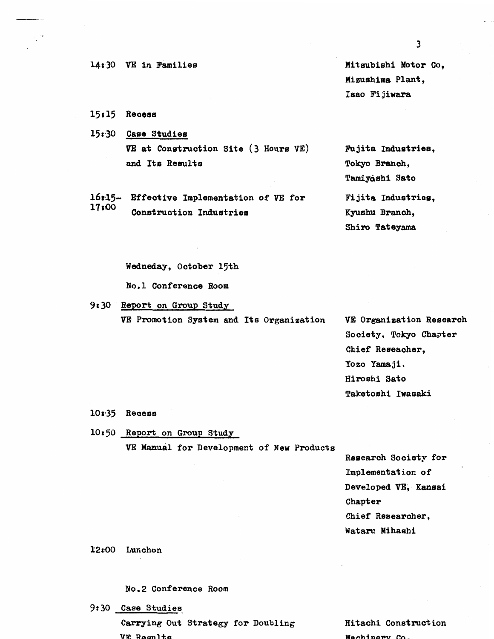**14:30 VE in Families Mitsubishi Motor Co,** Mi eushima **Plant,**  Isao Fijiwara

- $15:15$  Recess
- 15:30 Case Studies **VE** at Construction **Site** (3 Hours **VE) Fu** jita Indusrtries, and Its Results Tokyo Branch,
- **16~15-** Effect ive Implementat ion of **VE** for Fi jita Industries, **l7** Construct ion Industries **Kyushu** Branoh,

Tamiyoshi Sato Shiro Tateyama

#### Wedneday, Ootober 15th

No.1 Conferenoe Room

9:30 Report on Group Study **VE** Promotion System and Its Organisation VE Organization Research

Society, Tokyo Chapter Chief Reseaoher, Yozo Yamaji. Hiroahi Sato Taketoshi Iwasaki

 $10:35$  Recess

**10r50** Report on Group Study

**VE** Manual for Development of **New** Products

Research Society for Implementat ion of Developed VE, Kansai Chapter Chief Researcher, Wataru Mihashi

#### **12800** Lunchon

#### No. 2 Conference Room

*9t30* **Case** Studies

Carrying Out Strategy **for** Doubling VE **Results** 

Hitachi Construction **Machinery** Co.